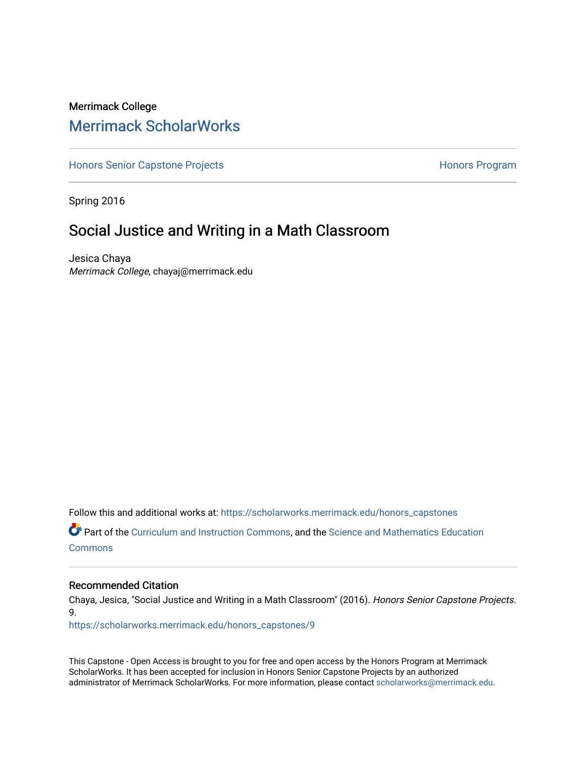## Merrimack College [Merrimack ScholarWorks](https://scholarworks.merrimack.edu/)

[Honors Senior Capstone Projects](https://scholarworks.merrimack.edu/honors_capstones) **Honors Program** Honors Program

Spring 2016

## Social Justice and Writing in a Math Classroom

Jesica Chaya Merrimack College, chayaj@merrimack.edu

Follow this and additional works at: [https://scholarworks.merrimack.edu/honors\\_capstones](https://scholarworks.merrimack.edu/honors_capstones?utm_source=scholarworks.merrimack.edu%2Fhonors_capstones%2F9&utm_medium=PDF&utm_campaign=PDFCoverPages)

Part of the [Curriculum and Instruction Commons,](http://network.bepress.com/hgg/discipline/786?utm_source=scholarworks.merrimack.edu%2Fhonors_capstones%2F9&utm_medium=PDF&utm_campaign=PDFCoverPages) and the [Science and Mathematics Education](http://network.bepress.com/hgg/discipline/800?utm_source=scholarworks.merrimack.edu%2Fhonors_capstones%2F9&utm_medium=PDF&utm_campaign=PDFCoverPages)  **[Commons](http://network.bepress.com/hgg/discipline/800?utm_source=scholarworks.merrimack.edu%2Fhonors_capstones%2F9&utm_medium=PDF&utm_campaign=PDFCoverPages)** 

#### Recommended Citation

Chaya, Jesica, "Social Justice and Writing in a Math Classroom" (2016). Honors Senior Capstone Projects. 9.

[https://scholarworks.merrimack.edu/honors\\_capstones/9](https://scholarworks.merrimack.edu/honors_capstones/9?utm_source=scholarworks.merrimack.edu%2Fhonors_capstones%2F9&utm_medium=PDF&utm_campaign=PDFCoverPages)

This Capstone - Open Access is brought to you for free and open access by the Honors Program at Merrimack ScholarWorks. It has been accepted for inclusion in Honors Senior Capstone Projects by an authorized administrator of Merrimack ScholarWorks. For more information, please contact [scholarworks@merrimack.edu](mailto:scholarworks@merrimack.edu).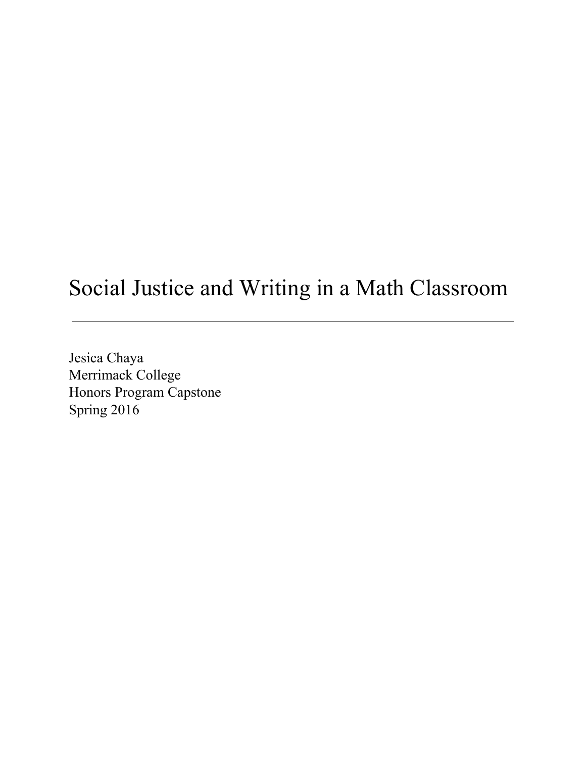# Social Justice and Writing in a Math Classroom

Jesica Chaya Merrimack College Honors Program Capstone Spring 2016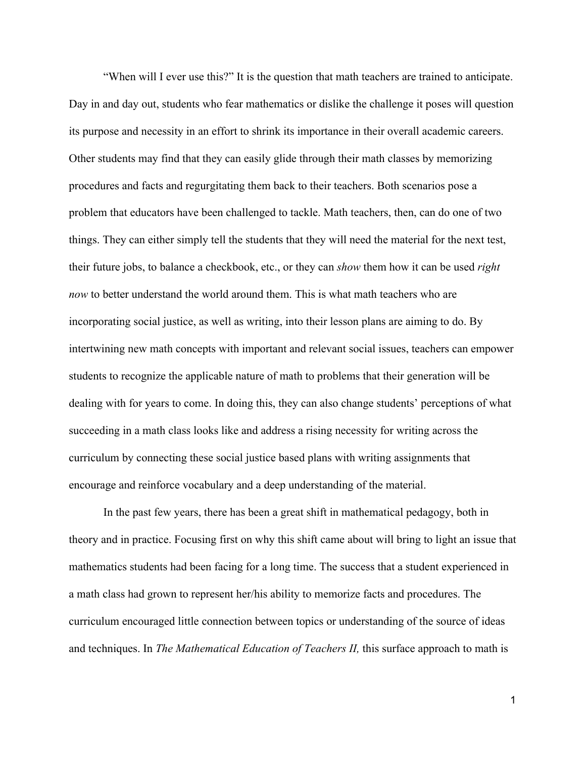"When will I ever use this?" It is the question that math teachers are trained to anticipate. Day in and day out, students who fear mathematics or dislike the challenge it poses will question its purpose and necessity in an effort to shrink its importance in their overall academic careers. Other students may find that they can easily glide through their math classes by memorizing procedures and facts and regurgitating them back to their teachers. Both scenarios pose a problem that educators have been challenged to tackle. Math teachers, then, can do one of two things. They can either simply tell the students that they will need the material for the next test, their future jobs, to balance a checkbook, etc., or they can *show* them how it can be used *right now* to better understand the world around them. This is what math teachers who are incorporating social justice, as well as writing, into their lesson plans are aiming to do. By intertwining new math concepts with important and relevant social issues, teachers can empower students to recognize the applicable nature of math to problems that their generation will be dealing with for years to come. In doing this, they can also change students' perceptions of what succeeding in a math class looks like and address a rising necessity for writing across the curriculum by connecting these social justice based plans with writing assignments that encourage and reinforce vocabulary and a deep understanding of the material.

In the past few years, there has been a great shift in mathematical pedagogy, both in theory and in practice. Focusing first on why this shift came about will bring to light an issue that mathematics students had been facing for a long time. The success that a student experienced in a math class had grown to represent her/his ability to memorize facts and procedures. The curriculum encouraged little connection between topics or understanding of the source of ideas and techniques. In *The Mathematical Education of Teachers II,* this surface approach to math is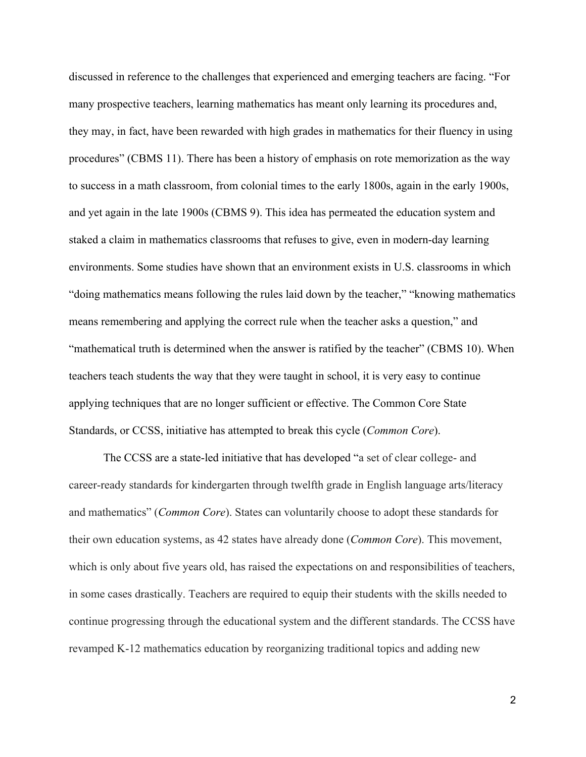discussed in reference to the challenges that experienced and emerging teachers are facing. "For many prospective teachers, learning mathematics has meant only learning its procedures and, they may, in fact, have been rewarded with high grades in mathematics for their fluency in using procedures" (CBMS 11). There has been a history of emphasis on rote memorization as the way to success in a math classroom, from colonial times to the early 1800s, again in the early 1900s, and yet again in the late 1900s (CBMS 9). This idea has permeated the education system and staked a claim in mathematics classrooms that refuses to give, even in modern-day learning environments. Some studies have shown that an environment exists in U.S. classrooms in which "doing mathematics means following the rules laid down by the teacher," "knowing mathematics means remembering and applying the correct rule when the teacher asks a question," and "mathematical truth is determined when the answer is ratified by the teacher" (CBMS 10). When teachers teach students the way that they were taught in school, it is very easy to continue applying techniques that are no longer sufficient or effective. The Common Core State Standards, or CCSS, initiative has attempted to break this cycle (*Common Core*).

The CCSS are a state-led initiative that has developed "a set of clear college- and career-ready standards for kindergarten through twelfth grade in English language arts/literacy and mathematics" (*Common Core*). States can voluntarily choose to adopt these standards for their own education systems, as 42 states have already done (*Common Core*). This movement, which is only about five years old, has raised the expectations on and responsibilities of teachers, in some cases drastically. Teachers are required to equip their students with the skills needed to continue progressing through the educational system and the different standards. The CCSS have revamped K-12 mathematics education by reorganizing traditional topics and adding new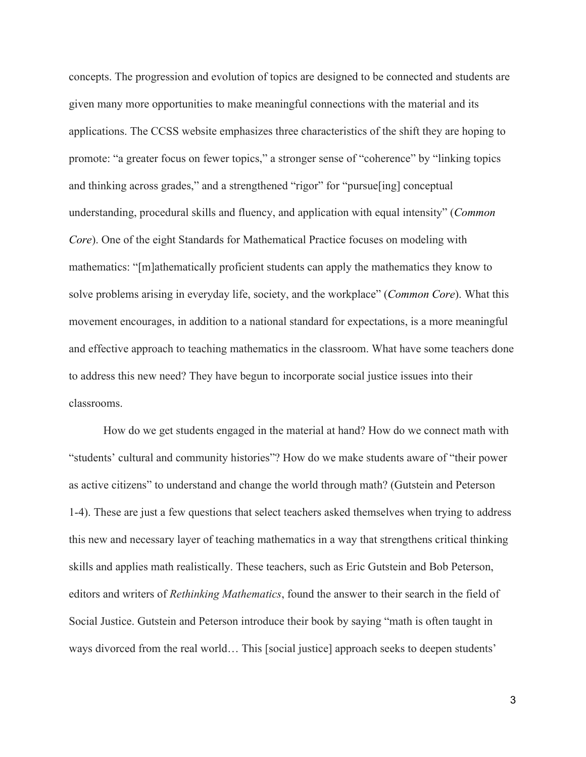concepts. The progression and evolution of topics are designed to be connected and students are given many more opportunities to make meaningful connections with the material and its applications. The CCSS website emphasizes three characteristics of the shift they are hoping to promote: "a greater focus on fewer topics," a stronger sense of "coherence" by "linking topics and thinking across grades," and a strengthened "rigor" for "pursue[ing] conceptual understanding, procedural skills and fluency, and application with equal intensity" (*Common Core*). One of the eight Standards for Mathematical Practice focuses on modeling with mathematics: "[m]athematically proficient students can apply the mathematics they know to solve problems arising in everyday life, society, and the workplace" (*Common Core*). What this movement encourages, in addition to a national standard for expectations, is a more meaningful and effective approach to teaching mathematics in the classroom. What have some teachers done to address this new need? They have begun to incorporate social justice issues into their classrooms.

How do we get students engaged in the material at hand? How do we connect math with "students' cultural and community histories"? How do we make students aware of "their power as active citizens" to understand and change the world through math? (Gutstein and Peterson 14). These are just a few questions that select teachers asked themselves when trying to address this new and necessary layer of teaching mathematics in a way that strengthens critical thinking skills and applies math realistically. These teachers, such as Eric Gutstein and Bob Peterson, editors and writers of *Rethinking Mathematics*, found the answer to their search in the field of Social Justice. Gutstein and Peterson introduce their book by saying "math is often taught in ways divorced from the real world… This [social justice] approach seeks to deepen students'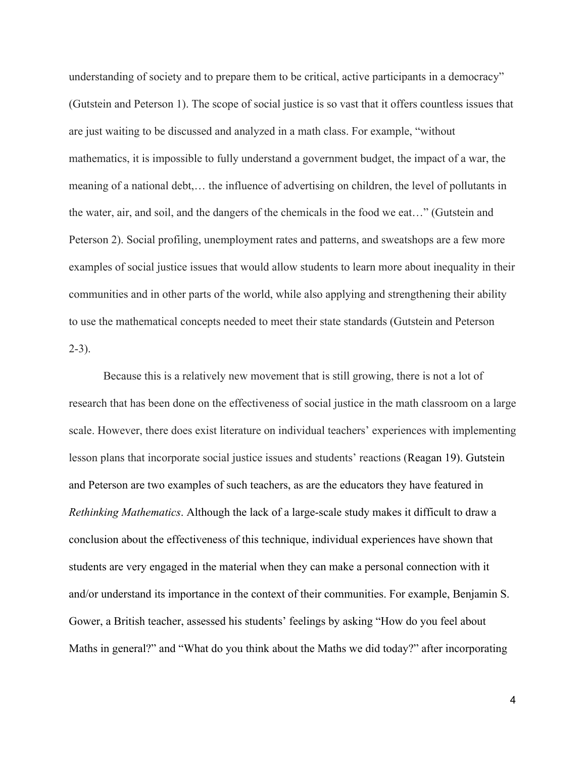understanding of society and to prepare them to be critical, active participants in a democracy" (Gutstein and Peterson 1). The scope of social justice is so vast that it offers countless issues that are just waiting to be discussed and analyzed in a math class. For example, "without mathematics, it is impossible to fully understand a government budget, the impact of a war, the meaning of a national debt,… the influence of advertising on children, the level of pollutants in the water, air, and soil, and the dangers of the chemicals in the food we eat…" (Gutstein and Peterson 2). Social profiling, unemployment rates and patterns, and sweatshops are a few more examples of social justice issues that would allow students to learn more about inequality in their communities and in other parts of the world, while also applying and strengthening their ability to use the mathematical concepts needed to meet their state standards (Gutstein and Peterson  $2-3$ ).

Because this is a relatively new movement that is still growing, there is not a lot of research that has been done on the effectiveness of social justice in the math classroom on a large scale. However, there does exist literature on individual teachers' experiences with implementing lesson plans that incorporate social justice issues and students' reactions (Reagan 19). Gutstein and Peterson are two examples of such teachers, as are the educators they have featured in *Rethinking Mathematics*. Although the lack of a large-scale study makes it difficult to draw a conclusion about the effectiveness of this technique, individual experiences have shown that students are very engaged in the material when they can make a personal connection with it and/or understand its importance in the context of their communities. For example, Benjamin S. Gower, a British teacher, assessed his students' feelings by asking "How do you feel about Maths in general?" and "What do you think about the Maths we did today?" after incorporating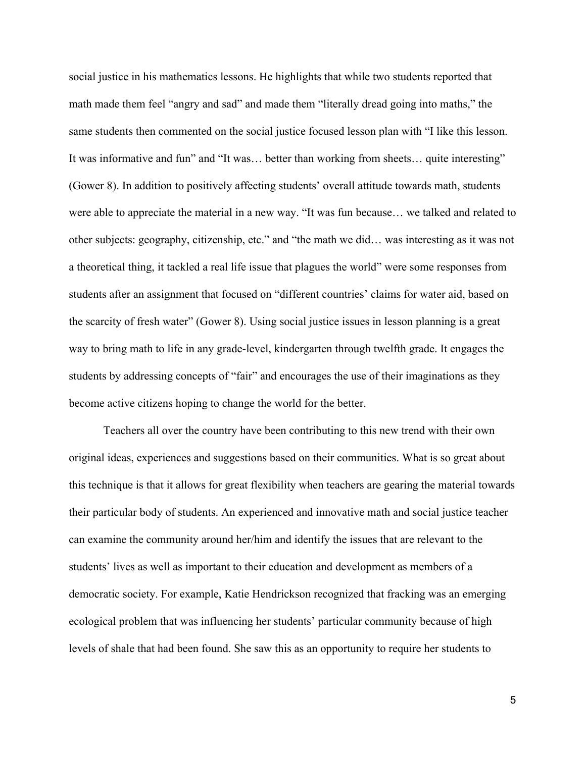social justice in his mathematics lessons. He highlights that while two students reported that math made them feel "angry and sad" and made them "literally dread going into maths," the same students then commented on the social justice focused lesson plan with "I like this lesson. It was informative and fun" and "It was... better than working from sheets... quite interesting" (Gower 8). In addition to positively affecting students' overall attitude towards math, students were able to appreciate the material in a new way. "It was fun because… we talked and related to other subjects: geography, citizenship, etc." and "the math we did… was interesting as it was not a theoretical thing, it tackled a real life issue that plagues the world" were some responses from students after an assignment that focused on "different countries' claims for water aid, based on the scarcity of fresh water" (Gower 8). Using social justice issues in lesson planning is a great way to bring math to life in any grade-level, kindergarten through twelfth grade. It engages the students by addressing concepts of "fair" and encourages the use of their imaginations as they become active citizens hoping to change the world for the better.

Teachers all over the country have been contributing to this new trend with their own original ideas, experiences and suggestions based on their communities. What is so great about this technique is that it allows for great flexibility when teachers are gearing the material towards their particular body of students. An experienced and innovative math and social justice teacher can examine the community around her/him and identify the issues that are relevant to the students' lives as well as important to their education and development as members of a democratic society. For example, Katie Hendrickson recognized that fracking was an emerging ecological problem that was influencing her students' particular community because of high levels of shale that had been found. She saw this as an opportunity to require her students to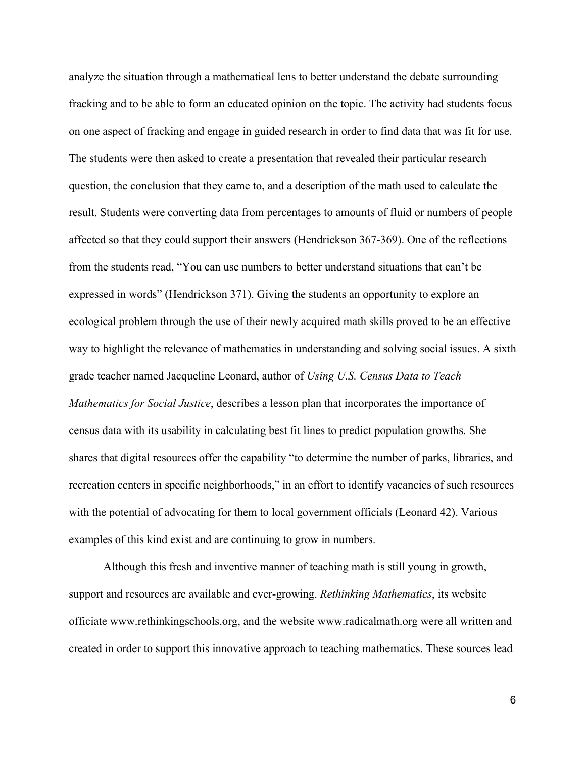analyze the situation through a mathematical lens to better understand the debate surrounding fracking and to be able to form an educated opinion on the topic. The activity had students focus on one aspect of fracking and engage in guided research in order to find data that was fit for use. The students were then asked to create a presentation that revealed their particular research question, the conclusion that they came to, and a description of the math used to calculate the result. Students were converting data from percentages to amounts of fluid or numbers of people affected so that they could support their answers (Hendrickson 367-369). One of the reflections from the students read, "You can use numbers to better understand situations that can't be expressed in words" (Hendrickson 371). Giving the students an opportunity to explore an ecological problem through the use of their newly acquired math skills proved to be an effective way to highlight the relevance of mathematics in understanding and solving social issues. A sixth grade teacher named Jacqueline Leonard, author of *Using U.S. Census Data to Teach Mathematics for Social Justice*, describes a lesson plan that incorporates the importance of census data with its usability in calculating best fit lines to predict population growths. She shares that digital resources offer the capability "to determine the number of parks, libraries, and recreation centers in specific neighborhoods," in an effort to identify vacancies of such resources with the potential of advocating for them to local government officials (Leonard 42). Various examples of this kind exist and are continuing to grow in numbers.

Although this fresh and inventive manner of teaching math is still young in growth, support and resources are available and ever-growing. *Rethinking Mathematics*, its website officiate www.rethinkingschools.org, and the website www.radicalmath.org were all written and created in order to support this innovative approach to teaching mathematics. These sources lead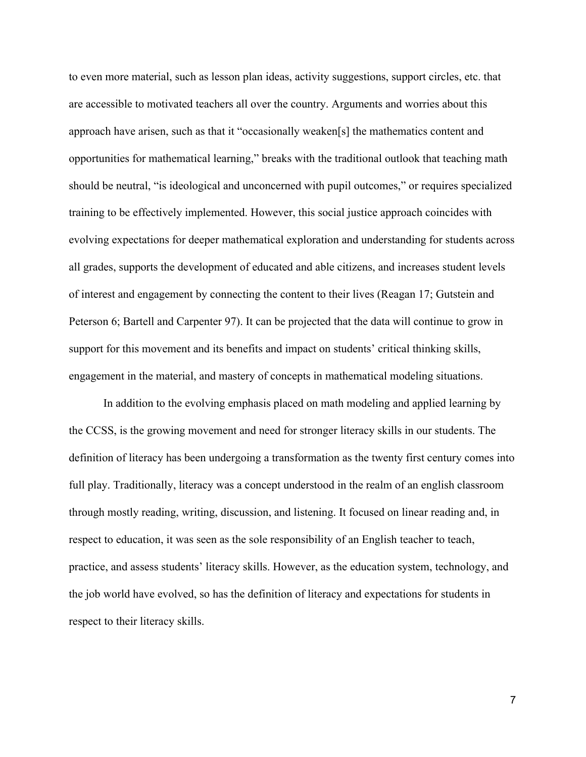to even more material, such as lesson plan ideas, activity suggestions, support circles, etc. that are accessible to motivated teachers all over the country. Arguments and worries about this approach have arisen, such as that it "occasionally weaken[s] the mathematics content and opportunities for mathematical learning," breaks with the traditional outlook that teaching math should be neutral, "is ideological and unconcerned with pupil outcomes," or requires specialized training to be effectively implemented. However, this social justice approach coincides with evolving expectations for deeper mathematical exploration and understanding for students across all grades, supports the development of educated and able citizens, and increases student levels of interest and engagement by connecting the content to their lives (Reagan 17; Gutstein and Peterson 6; Bartell and Carpenter 97). It can be projected that the data will continue to grow in support for this movement and its benefits and impact on students' critical thinking skills, engagement in the material, and mastery of concepts in mathematical modeling situations.

In addition to the evolving emphasis placed on math modeling and applied learning by the CCSS, is the growing movement and need for stronger literacy skills in our students. The definition of literacy has been undergoing a transformation as the twenty first century comes into full play. Traditionally, literacy was a concept understood in the realm of an english classroom through mostly reading, writing, discussion, and listening. It focused on linear reading and, in respect to education, it was seen as the sole responsibility of an English teacher to teach, practice, and assess students' literacy skills. However, as the education system, technology, and the job world have evolved, so has the definition of literacy and expectations for students in respect to their literacy skills.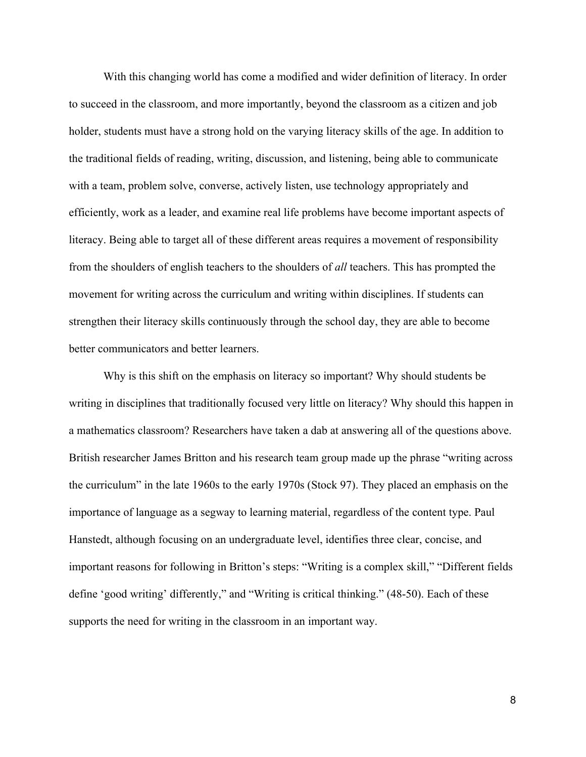With this changing world has come a modified and wider definition of literacy. In order to succeed in the classroom, and more importantly, beyond the classroom as a citizen and job holder, students must have a strong hold on the varying literacy skills of the age. In addition to the traditional fields of reading, writing, discussion, and listening, being able to communicate with a team, problem solve, converse, actively listen, use technology appropriately and efficiently, work as a leader, and examine real life problems have become important aspects of literacy. Being able to target all of these different areas requires a movement of responsibility from the shoulders of english teachers to the shoulders of *all* teachers. This has prompted the movement for writing across the curriculum and writing within disciplines. If students can strengthen their literacy skills continuously through the school day, they are able to become better communicators and better learners.

Why is this shift on the emphasis on literacy so important? Why should students be writing in disciplines that traditionally focused very little on literacy? Why should this happen in a mathematics classroom? Researchers have taken a dab at answering all of the questions above. British researcher James Britton and his research team group made up the phrase "writing across the curriculum" in the late 1960s to the early 1970s (Stock 97). They placed an emphasis on the importance of language as a segway to learning material, regardless of the content type. Paul Hanstedt, although focusing on an undergraduate level, identifies three clear, concise, and important reasons for following in Britton's steps: "Writing is a complex skill," "Different fields define 'good writing' differently," and "Writing is critical thinking." (48-50). Each of these supports the need for writing in the classroom in an important way.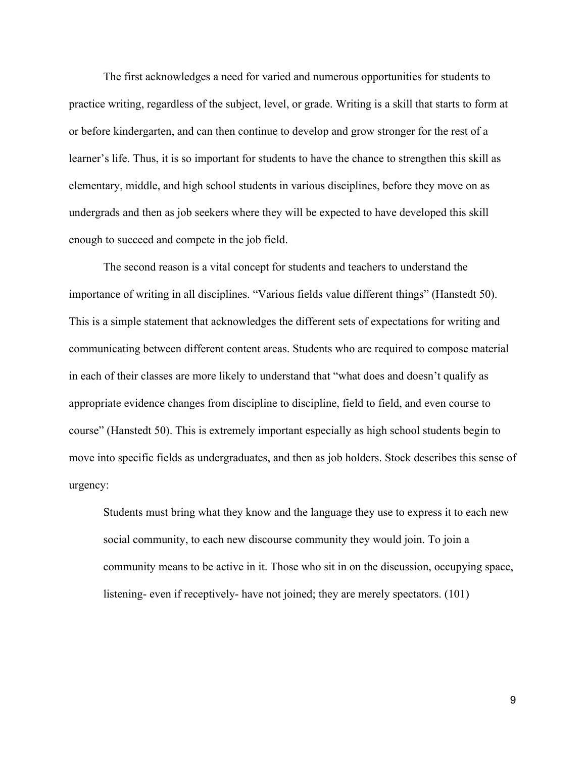The first acknowledges a need for varied and numerous opportunities for students to practice writing, regardless of the subject, level, or grade. Writing is a skill that starts to form at or before kindergarten, and can then continue to develop and grow stronger for the rest of a learner's life. Thus, it is so important for students to have the chance to strengthen this skill as elementary, middle, and high school students in various disciplines, before they move on as undergrads and then as job seekers where they will be expected to have developed this skill enough to succeed and compete in the job field.

The second reason is a vital concept for students and teachers to understand the importance of writing in all disciplines. "Various fields value different things" (Hanstedt 50). This is a simple statement that acknowledges the different sets of expectations for writing and communicating between different content areas. Students who are required to compose material in each of their classes are more likely to understand that "what does and doesn't qualify as appropriate evidence changes from discipline to discipline, field to field, and even course to course" (Hanstedt 50). This is extremely important especially as high school students begin to move into specific fields as undergraduates, and then as job holders. Stock describes this sense of urgency:

Students must bring what they know and the language they use to express it to each new social community, to each new discourse community they would join. To join a community means to be active in it. Those who sit in on the discussion, occupying space, listening- even if receptively- have not joined; they are merely spectators. (101)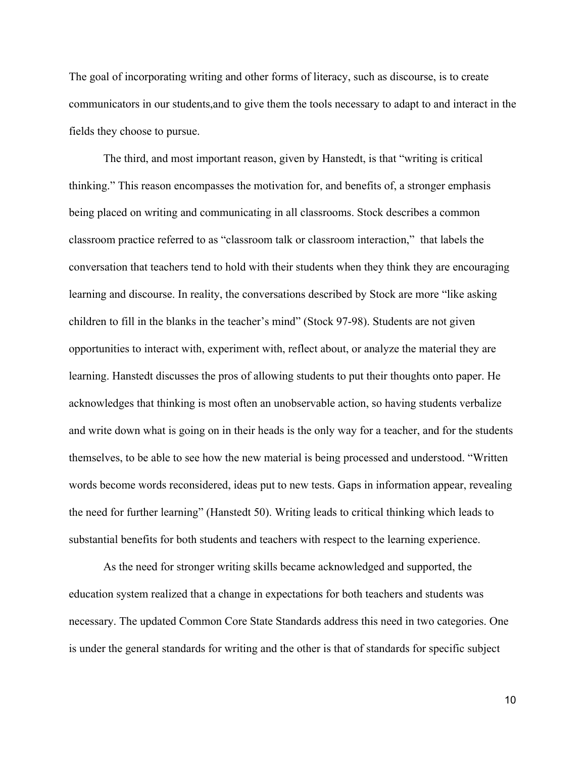The goal of incorporating writing and other forms of literacy, such as discourse, is to create communicators in our students,and to give them the tools necessary to adapt to and interact in the fields they choose to pursue.

The third, and most important reason, given by Hanstedt, is that "writing is critical thinking." This reason encompasses the motivation for, and benefits of, a stronger emphasis being placed on writing and communicating in all classrooms. Stock describes a common classroom practice referred to as "classroom talk or classroom interaction," that labels the conversation that teachers tend to hold with their students when they think they are encouraging learning and discourse. In reality, the conversations described by Stock are more "like asking children to fill in the blanks in the teacher's mind" (Stock 97-98). Students are not given opportunities to interact with, experiment with, reflect about, or analyze the material they are learning. Hanstedt discusses the pros of allowing students to put their thoughts onto paper. He acknowledges that thinking is most often an unobservable action, so having students verbalize and write down what is going on in their heads is the only way for a teacher, and for the students themselves, to be able to see how the new material is being processed and understood. "Written words become words reconsidered, ideas put to new tests. Gaps in information appear, revealing the need for further learning" (Hanstedt 50). Writing leads to critical thinking which leads to substantial benefits for both students and teachers with respect to the learning experience.

As the need for stronger writing skills became acknowledged and supported, the education system realized that a change in expectations for both teachers and students was necessary. The updated Common Core State Standards address this need in two categories. One is under the general standards for writing and the other is that of standards for specific subject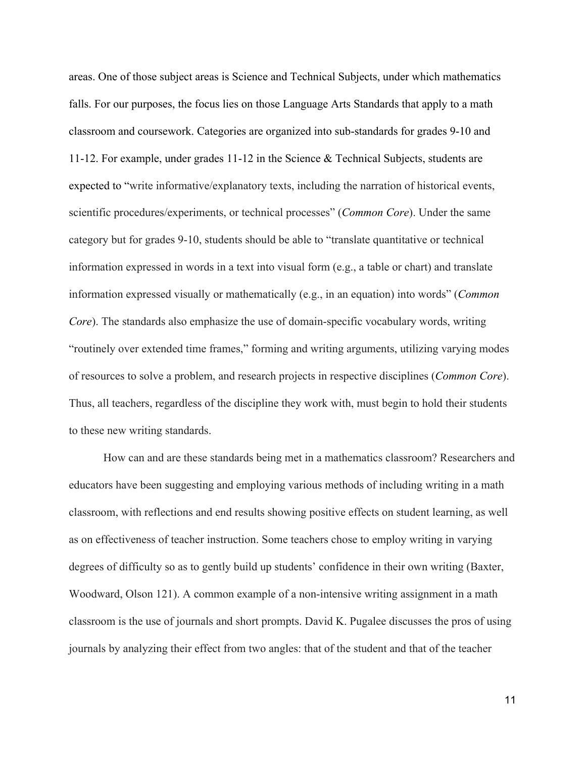areas. One of those subject areas is Science and Technical Subjects, under which mathematics falls. For our purposes, the focus lies on those Language Arts Standards that apply to a math classroom and coursework. Categories are organized into sub-standards for grades 9-10 and 11-12. For example, under grades 11-12 in the Science  $\&$  Technical Subjects, students are expected to "write informative/explanatory texts, including the narration of historical events, scientific procedures/experiments, or technical processes" (*Common Core*). Under the same category but for grades 910, students should be able to "translate quantitative or technical information expressed in words in a text into visual form (e.g., a table or chart) and translate information expressed visually or mathematically (e.g., in an equation) into words" (*Common Core*). The standards also emphasize the use of domain-specific vocabulary words, writing "routinely over extended time frames," forming and writing arguments, utilizing varying modes of resources to solve a problem, and research projects in respective disciplines (*Common Core*). Thus, all teachers, regardless of the discipline they work with, must begin to hold their students to these new writing standards.

How can and are these standards being met in a mathematics classroom? Researchers and educators have been suggesting and employing various methods of including writing in a math classroom, with reflections and end results showing positive effects on student learning, as well as on effectiveness of teacher instruction. Some teachers chose to employ writing in varying degrees of difficulty so as to gently build up students' confidence in their own writing (Baxter, Woodward, Olson 121). A common example of a non-intensive writing assignment in a math classroom is the use of journals and short prompts. David K. Pugalee discusses the pros of using journals by analyzing their effect from two angles: that of the student and that of the teacher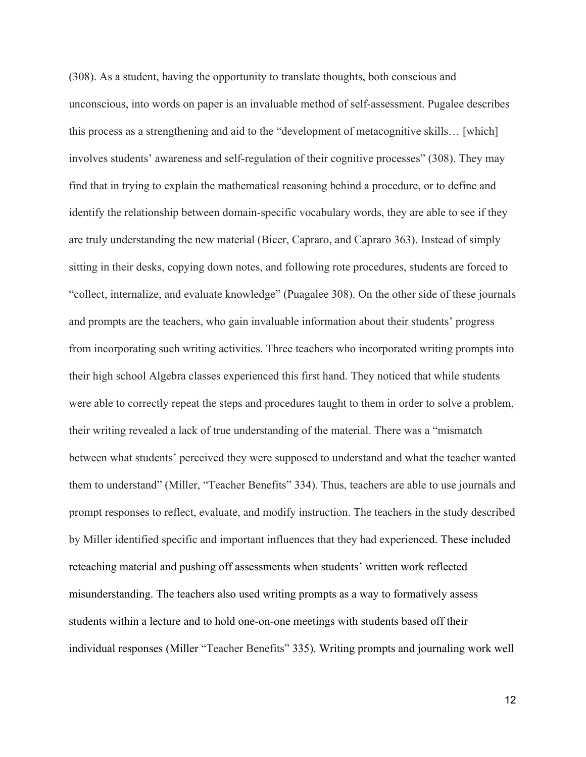(308). As a student, having the opportunity to translate thoughts, both conscious and unconscious, into words on paper is an invaluable method of self-assessment. Pugalee describes this process as a strengthening and aid to the "development of metacognitive skills… [which] involves students' awareness and self-regulation of their cognitive processes" (308). They may find that in trying to explain the mathematical reasoning behind a procedure, or to define and identify the relationship between domain-specific vocabulary words, they are able to see if they are truly understanding the new material (Bicer, Capraro, and Capraro 363). Instead of simply sitting in their desks, copying down notes, and following rote procedures, students are forced to "collect, internalize, and evaluate knowledge" (Puagalee 308). On the other side of these journals and prompts are the teachers, who gain invaluable information about their students' progress from incorporating such writing activities. Three teachers who incorporated writing prompts into their high school Algebra classes experienced this first hand. They noticed that while students were able to correctly repeat the steps and procedures taught to them in order to solve a problem, their writing revealed a lack of true understanding of the material. There was a "mismatch between what students' perceived they were supposed to understand and what the teacher wanted them to understand" (Miller, "Teacher Benefits" 334). Thus, teachers are able to use journals and prompt responses to reflect, evaluate, and modify instruction. The teachers in the study described by Miller identified specific and important influences that they had experienced. These included reteaching material and pushing off assessments when students' written work reflected misunderstanding. The teachers also used writing prompts as a way to formatively assess students within a lecture and to hold one-on-one meetings with students based off their individual responses (Miller "Teacher Benefits" 335). Writing prompts and journaling work well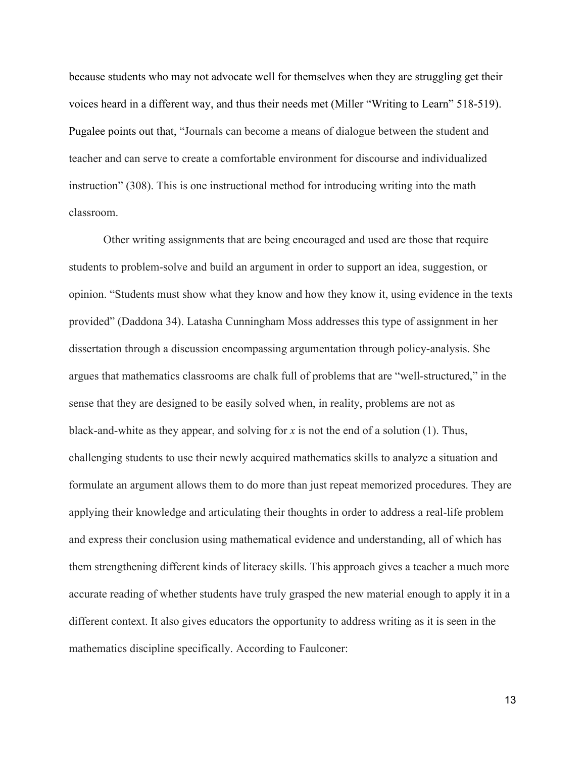because students who may not advocate well for themselves when they are struggling get their voices heard in a different way, and thus their needs met (Miller "Writing to Learn" 518-519). Pugalee points out that, "Journals can become a means of dialogue between the student and teacher and can serve to create a comfortable environment for discourse and individualized instruction" (308). This is one instructional method for introducing writing into the math classroom.

Other writing assignments that are being encouraged and used are those that require students to problem-solve and build an argument in order to support an idea, suggestion, or opinion. "Students must show what they know and how they know it, using evidence in the texts provided" (Daddona 34). Latasha Cunningham Moss addresses this type of assignment in her dissertation through a discussion encompassing argumentation through policy-analysis. She argues that mathematics classrooms are chalk full of problems that are "well-structured," in the sense that they are designed to be easily solved when, in reality, problems are not as black-and-white as they appear, and solving for  $x$  is not the end of a solution (1). Thus, challenging students to use their newly acquired mathematics skills to analyze a situation and formulate an argument allows them to do more than just repeat memorized procedures. They are applying their knowledge and articulating their thoughts in order to address a real-life problem and express their conclusion using mathematical evidence and understanding, all of which has them strengthening different kinds of literacy skills. This approach gives a teacher a much more accurate reading of whether students have truly grasped the new material enough to apply it in a different context. It also gives educators the opportunity to address writing as it is seen in the mathematics discipline specifically. According to Faulconer: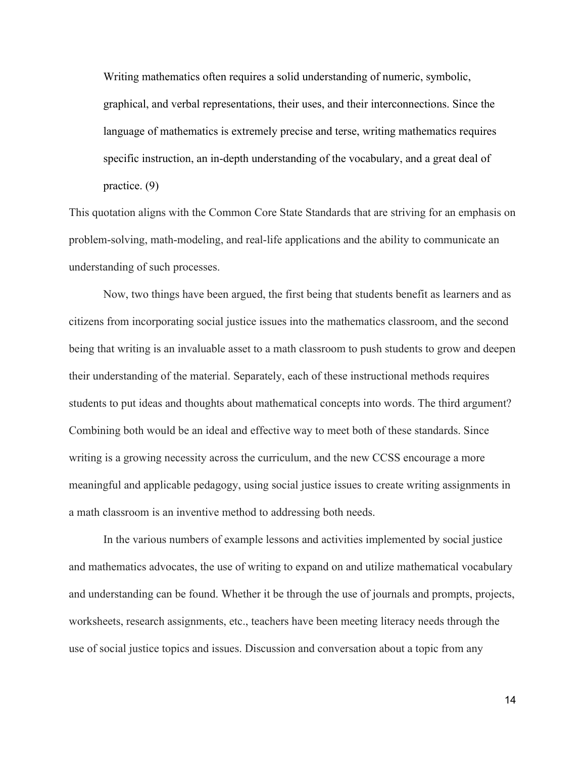Writing mathematics often requires a solid understanding of numeric, symbolic, graphical, and verbal representations, their uses, and their interconnections. Since the language of mathematics is extremely precise and terse, writing mathematics requires specific instruction, an in-depth understanding of the vocabulary, and a great deal of practice. (9)

This quotation aligns with the Common Core State Standards that are striving for an emphasis on problem-solving, math-modeling, and real-life applications and the ability to communicate an understanding of such processes.

Now, two things have been argued, the first being that students benefit as learners and as citizens from incorporating social justice issues into the mathematics classroom, and the second being that writing is an invaluable asset to a math classroom to push students to grow and deepen their understanding of the material. Separately, each of these instructional methods requires students to put ideas and thoughts about mathematical concepts into words. The third argument? Combining both would be an ideal and effective way to meet both of these standards. Since writing is a growing necessity across the curriculum, and the new CCSS encourage a more meaningful and applicable pedagogy, using social justice issues to create writing assignments in a math classroom is an inventive method to addressing both needs.

In the various numbers of example lessons and activities implemented by social justice and mathematics advocates, the use of writing to expand on and utilize mathematical vocabulary and understanding can be found. Whether it be through the use of journals and prompts, projects, worksheets, research assignments, etc., teachers have been meeting literacy needs through the use of social justice topics and issues. Discussion and conversation about a topic from any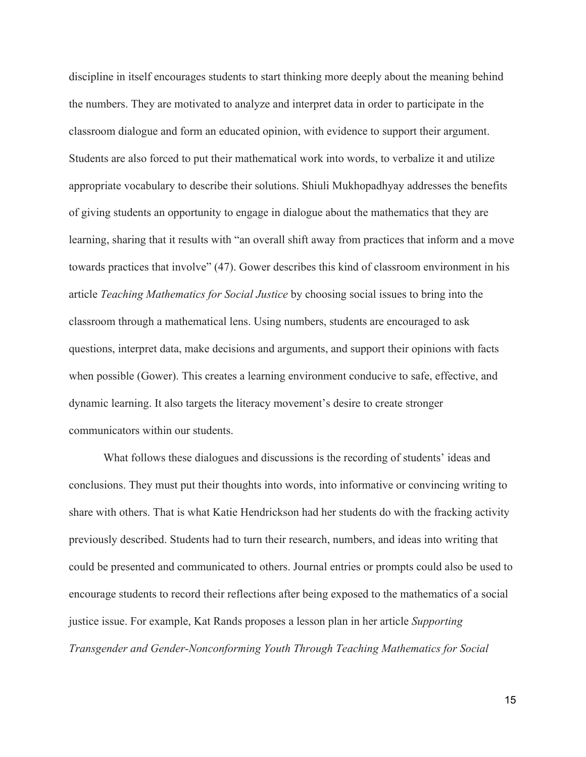discipline in itself encourages students to start thinking more deeply about the meaning behind the numbers. They are motivated to analyze and interpret data in order to participate in the classroom dialogue and form an educated opinion, with evidence to support their argument. Students are also forced to put their mathematical work into words, to verbalize it and utilize appropriate vocabulary to describe their solutions. Shiuli Mukhopadhyay addresses the benefits of giving students an opportunity to engage in dialogue about the mathematics that they are learning, sharing that it results with "an overall shift away from practices that inform and a move towards practices that involve" (47). Gower describes this kind of classroom environment in his article *Teaching Mathematics for Social Justice* by choosing social issues to bring into the classroom through a mathematical lens. Using numbers, students are encouraged to ask questions, interpret data, make decisions and arguments, and support their opinions with facts when possible (Gower). This creates a learning environment conducive to safe, effective, and dynamic learning. It also targets the literacy movement's desire to create stronger communicators within our students.

What follows these dialogues and discussions is the recording of students' ideas and conclusions. They must put their thoughts into words, into informative or convincing writing to share with others. That is what Katie Hendrickson had her students do with the fracking activity previously described. Students had to turn their research, numbers, and ideas into writing that could be presented and communicated to others. Journal entries or prompts could also be used to encourage students to record their reflections after being exposed to the mathematics of a social justice issue. For example, Kat Rands proposes a lesson plan in her article *Supporting Transgender and GenderNonconforming Youth Through Teaching Mathematics for Social*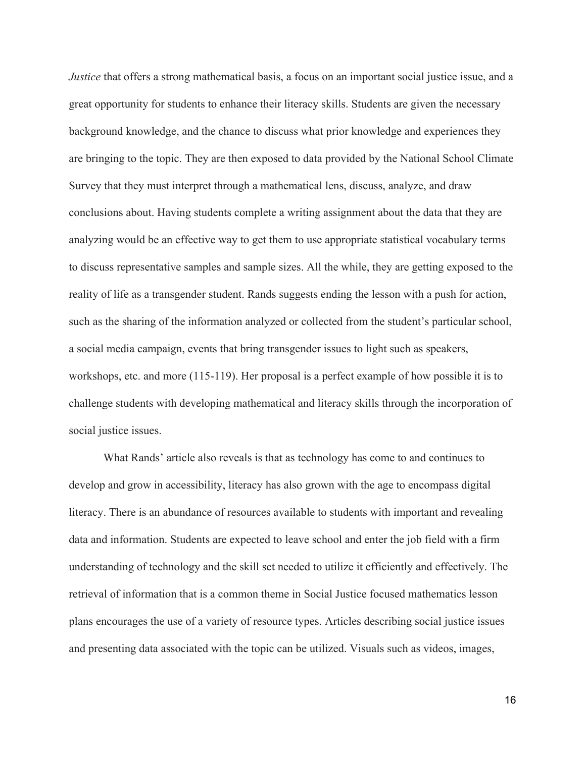*Justice* that offers a strong mathematical basis, a focus on an important social justice issue, and a great opportunity for students to enhance their literacy skills. Students are given the necessary background knowledge, and the chance to discuss what prior knowledge and experiences they are bringing to the topic. They are then exposed to data provided by the National School Climate Survey that they must interpret through a mathematical lens, discuss, analyze, and draw conclusions about. Having students complete a writing assignment about the data that they are analyzing would be an effective way to get them to use appropriate statistical vocabulary terms to discuss representative samples and sample sizes. All the while, they are getting exposed to the reality of life as a transgender student. Rands suggests ending the lesson with a push for action, such as the sharing of the information analyzed or collected from the student's particular school, a social media campaign, events that bring transgender issues to light such as speakers, workshops, etc. and more (115-119). Her proposal is a perfect example of how possible it is to challenge students with developing mathematical and literacy skills through the incorporation of social justice issues.

What Rands' article also reveals is that as technology has come to and continues to develop and grow in accessibility, literacy has also grown with the age to encompass digital literacy. There is an abundance of resources available to students with important and revealing data and information. Students are expected to leave school and enter the job field with a firm understanding of technology and the skill set needed to utilize it efficiently and effectively. The retrieval of information that is a common theme in Social Justice focused mathematics lesson plans encourages the use of a variety of resource types. Articles describing social justice issues and presenting data associated with the topic can be utilized. Visuals such as videos, images,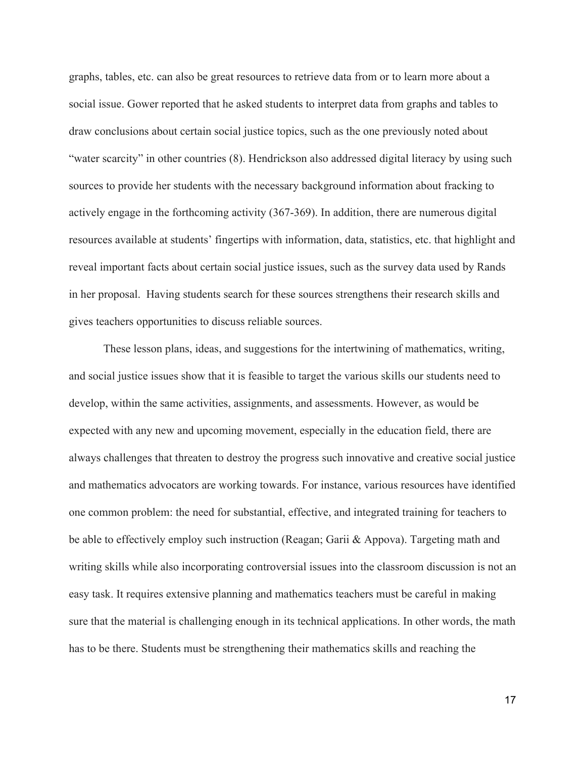graphs, tables, etc. can also be great resources to retrieve data from or to learn more about a social issue. Gower reported that he asked students to interpret data from graphs and tables to draw conclusions about certain social justice topics, such as the one previously noted about "water scarcity" in other countries (8). Hendrickson also addressed digital literacy by using such sources to provide her students with the necessary background information about fracking to actively engage in the forthcoming activity (367-369). In addition, there are numerous digital resources available at students' fingertips with information, data, statistics, etc. that highlight and reveal important facts about certain social justice issues, such as the survey data used by Rands in her proposal. Having students search for these sources strengthens their research skills and gives teachers opportunities to discuss reliable sources.

These lesson plans, ideas, and suggestions for the intertwining of mathematics, writing, and social justice issues show that it is feasible to target the various skills our students need to develop, within the same activities, assignments, and assessments. However, as would be expected with any new and upcoming movement, especially in the education field, there are always challenges that threaten to destroy the progress such innovative and creative social justice and mathematics advocators are working towards. For instance, various resources have identified one common problem: the need for substantial, effective, and integrated training for teachers to be able to effectively employ such instruction (Reagan; Garii & Appova). Targeting math and writing skills while also incorporating controversial issues into the classroom discussion is not an easy task. It requires extensive planning and mathematics teachers must be careful in making sure that the material is challenging enough in its technical applications. In other words, the math has to be there. Students must be strengthening their mathematics skills and reaching the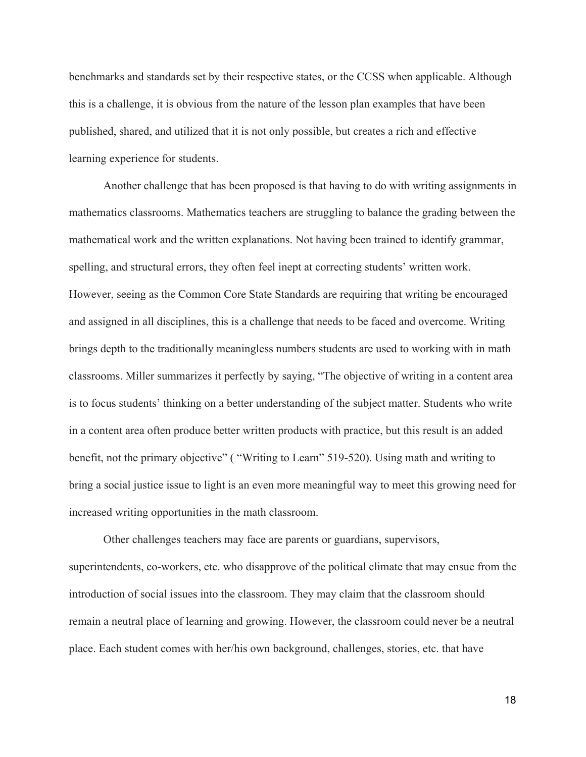benchmarks and standards set by their respective states, or the CCSS when applicable. Although this is a challenge, it is obvious from the nature of the lesson plan examples that have been published, shared, and utilized that it is not only possible, but creates a rich and effective learning experience for students.

Another challenge that has been proposed is that having to do with writing assignments in mathematics classrooms. Mathematics teachers are struggling to balance the grading between the mathematical work and the written explanations. Not having been trained to identify grammar, spelling, and structural errors, they often feel inept at correcting students' written work. However, seeing as the Common Core State Standards are requiring that writing be encouraged and assigned in all disciplines, this is a challenge that needs to be faced and overcome. Writing brings depth to the traditionally meaningless numbers students are used to working with in math classrooms. Miller summarizes it perfectly by saying, "The objective of writing in a content area is to focus students' thinking on a better understanding of the subject matter. Students who write in a content area often produce better written products with practice, but this result is an added benefit, not the primary objective" ("Writing to Learn" 519-520). Using math and writing to bring a social justice issue to light is an even more meaningful way to meet this growing need for increased writing opportunities in the math classroom.

Other challenges teachers may face are parents or guardians, supervisors, superintendents, co-workers, etc. who disapprove of the political climate that may ensue from the introduction of social issues into the classroom. They may claim that the classroom should remain a neutral place of learning and growing. However, the classroom could never be a neutral place. Each student comes with her/his own background, challenges, stories, etc. that have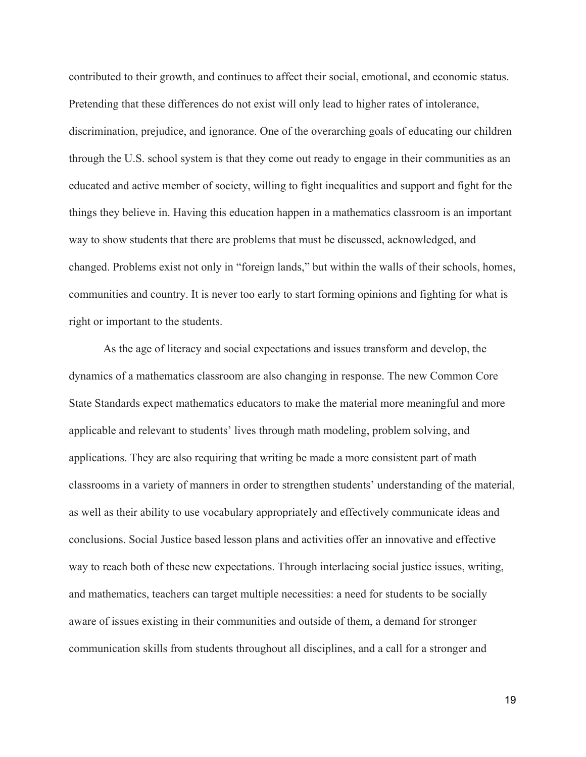contributed to their growth, and continues to affect their social, emotional, and economic status. Pretending that these differences do not exist will only lead to higher rates of intolerance, discrimination, prejudice, and ignorance. One of the overarching goals of educating our children through the U.S. school system is that they come out ready to engage in their communities as an educated and active member of society, willing to fight inequalities and support and fight for the things they believe in. Having this education happen in a mathematics classroom is an important way to show students that there are problems that must be discussed, acknowledged, and changed. Problems exist not only in "foreign lands," but within the walls of their schools, homes, communities and country. It is never too early to start forming opinions and fighting for what is right or important to the students.

As the age of literacy and social expectations and issues transform and develop, the dynamics of a mathematics classroom are also changing in response. The new Common Core State Standards expect mathematics educators to make the material more meaningful and more applicable and relevant to students' lives through math modeling, problem solving, and applications. They are also requiring that writing be made a more consistent part of math classrooms in a variety of manners in order to strengthen students' understanding of the material, as well as their ability to use vocabulary appropriately and effectively communicate ideas and conclusions. Social Justice based lesson plans and activities offer an innovative and effective way to reach both of these new expectations. Through interlacing social justice issues, writing, and mathematics, teachers can target multiple necessities: a need for students to be socially aware of issues existing in their communities and outside of them, a demand for stronger communication skills from students throughout all disciplines, and a call for a stronger and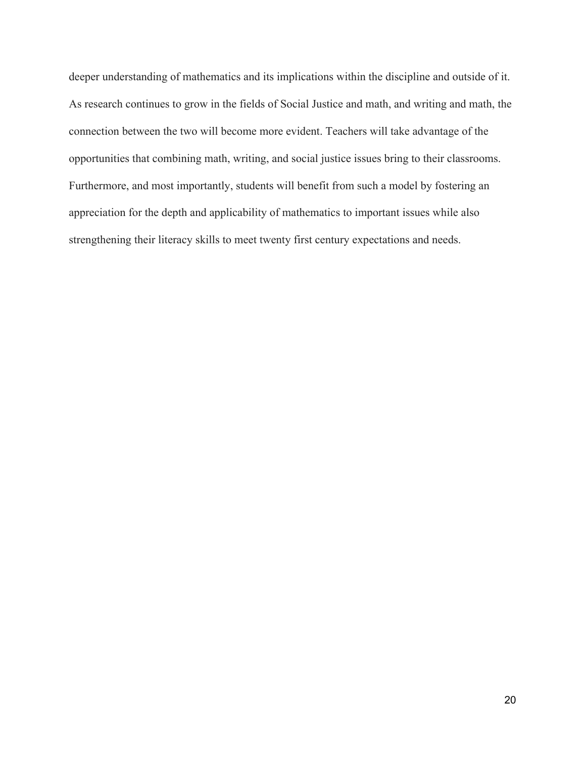deeper understanding of mathematics and its implications within the discipline and outside of it. As research continues to grow in the fields of Social Justice and math, and writing and math, the connection between the two will become more evident. Teachers will take advantage of the opportunities that combining math, writing, and social justice issues bring to their classrooms. Furthermore, and most importantly, students will benefit from such a model by fostering an appreciation for the depth and applicability of mathematics to important issues while also strengthening their literacy skills to meet twenty first century expectations and needs.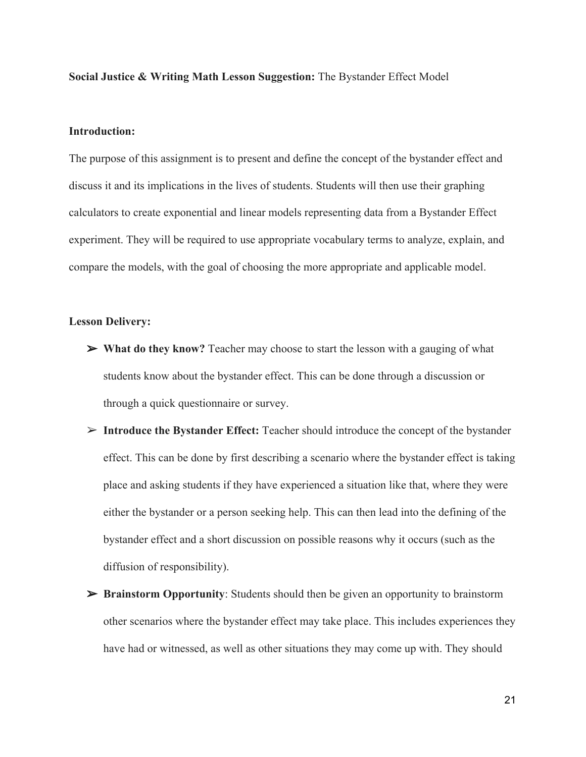**Social Justice & Writing Math Lesson Suggestion:** The Bystander Effect Model

#### **Introduction:**

The purpose of this assignment is to present and define the concept of the bystander effect and discuss it and its implications in the lives of students. Students will then use their graphing calculators to create exponential and linear models representing data from a Bystander Effect experiment. They will be required to use appropriate vocabulary terms to analyze, explain, and compare the models, with the goal of choosing the more appropriate and applicable model.

#### **Lesson Delivery:**

- ➢ **What do they know?** Teacher may choose to start the lesson with a gauging of what students know about the bystander effect. This can be done through a discussion or through a quick questionnaire or survey.
- ➢ **Introduce the Bystander Effect:** Teacher should introduce the concept of the bystander effect. This can be done by first describing a scenario where the bystander effect is taking place and asking students if they have experienced a situation like that, where they were either the bystander or a person seeking help. This can then lead into the defining of the bystander effect and a short discussion on possible reasons why it occurs (such as the diffusion of responsibility).
- ➢ **Brainstorm Opportunity**: Students should then be given an opportunity to brainstorm other scenarios where the bystander effect may take place. This includes experiences they have had or witnessed, as well as other situations they may come up with. They should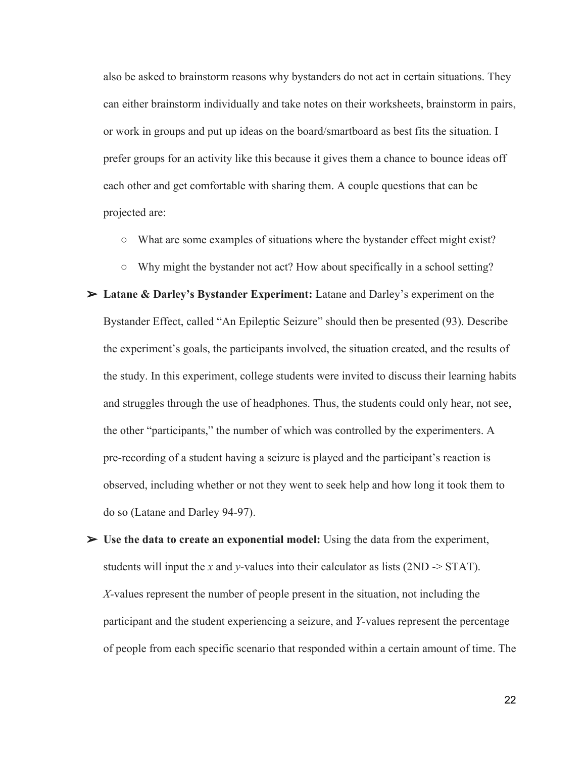also be asked to brainstorm reasons why bystanders do not act in certain situations. They can either brainstorm individually and take notes on their worksheets, brainstorm in pairs, or work in groups and put up ideas on the board/smartboard as best fits the situation. I prefer groups for an activity like this because it gives them a chance to bounce ideas off each other and get comfortable with sharing them. A couple questions that can be projected are:

- What are some examples of situations where the bystander effect might exist?
- Why might the bystander not act? How about specifically in a school setting?
- ➢ **Latane & Darley's Bystander Experiment:** Latane and Darley's experiment on the Bystander Effect, called "An Epileptic Seizure" should then be presented (93). Describe the experiment's goals, the participants involved, the situation created, and the results of the study. In this experiment, college students were invited to discuss their learning habits and struggles through the use of headphones. Thus, the students could only hear, not see, the other "participants," the number of which was controlled by the experimenters. A prerecording of a student having a seizure is played and the participant's reaction is observed, including whether or not they went to seek help and how long it took them to do so (Latane and Darley 94-97).
- ➢ **Use the data to create an exponential model:** Using the data from the experiment, students will input the *x* and *y*-values into their calculator as lists  $(2ND \rightarrow STAT)$ . *X*-values represent the number of people present in the situation, not including the participant and the student experiencing a seizure, and *Y*-values represent the percentage of people from each specific scenario that responded within a certain amount of time. The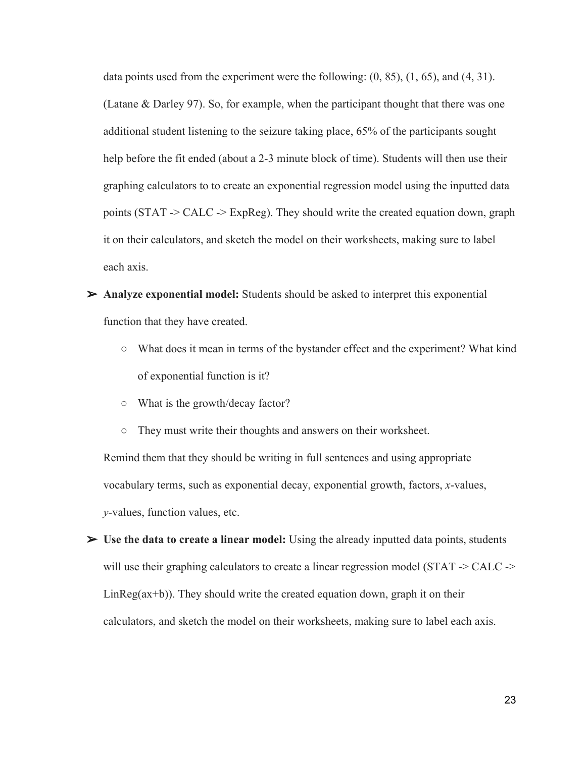data points used from the experiment were the following: (0, 85), (1, 65), and (4, 31). (Latane & Darley 97). So, for example, when the participant thought that there was one additional student listening to the seizure taking place, 65% of the participants sought help before the fit ended (about a 2-3 minute block of time). Students will then use their graphing calculators to to create an exponential regression model using the inputted data points (STAT > CALC > ExpReg). They should write the created equation down, graph it on their calculators, and sketch the model on their worksheets, making sure to label each axis.

- ➢ **Analyze exponential model:** Students should be asked to interpret this exponential function that they have created.
	- **○** What does it mean in terms of the bystander effect and the experiment? What kind of exponential function is it?
	- **○** What is the growth/decay factor?
	- **○** They must write their thoughts and answers on their worksheet.

Remind them that they should be writing in full sentences and using appropriate vocabulary terms, such as exponential decay, exponential growth, factors, *x*-values, *y*-values, function values, etc.

➢ **Use the data to create a linear model:** Using the already inputted data points, students will use their graphing calculators to create a linear regression model (STAT  $\geq$  CALC  $\geq$  $LinReg(ax+b)$ ). They should write the created equation down, graph it on their calculators, and sketch the model on their worksheets, making sure to label each axis.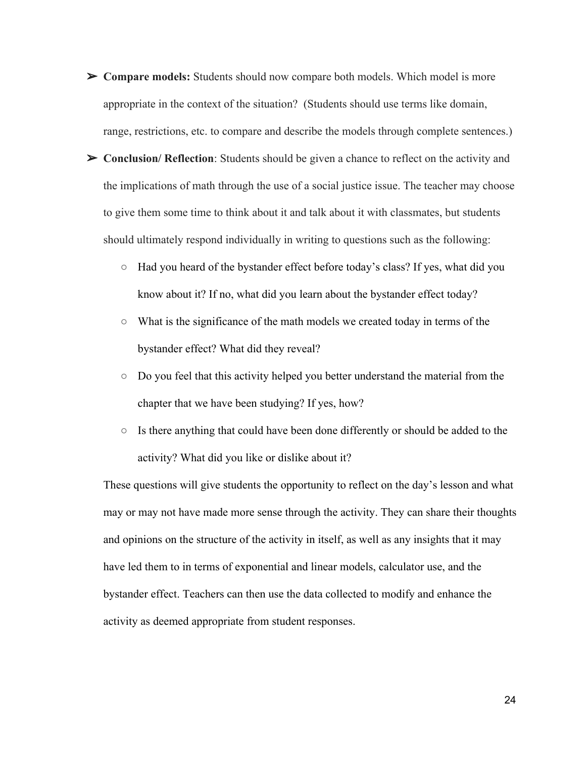- ➢ **Compare models:** Students should now compare both models. Which model is more appropriate in the context of the situation? (Students should use terms like domain, range, restrictions, etc. to compare and describe the models through complete sentences.)
- ➢ **Conclusion/ Reflection**: Students should be given a chance to reflect on the activity and the implications of math through the use of a social justice issue. The teacher may choose to give them some time to think about it and talk about it with classmates, but students should ultimately respond individually in writing to questions such as the following:
	- Had you heard of the bystander effect before today's class? If yes, what did you know about it? If no, what did you learn about the bystander effect today?
	- What is the significance of the math models we created today in terms of the bystander effect? What did they reveal?
	- Do you feel that this activity helped you better understand the material from the chapter that we have been studying? If yes, how?
	- Is there anything that could have been done differently or should be added to the activity? What did you like or dislike about it?

These questions will give students the opportunity to reflect on the day's lesson and what may or may not have made more sense through the activity. They can share their thoughts and opinions on the structure of the activity in itself, as well as any insights that it may have led them to in terms of exponential and linear models, calculator use, and the bystander effect. Teachers can then use the data collected to modify and enhance the activity as deemed appropriate from student responses.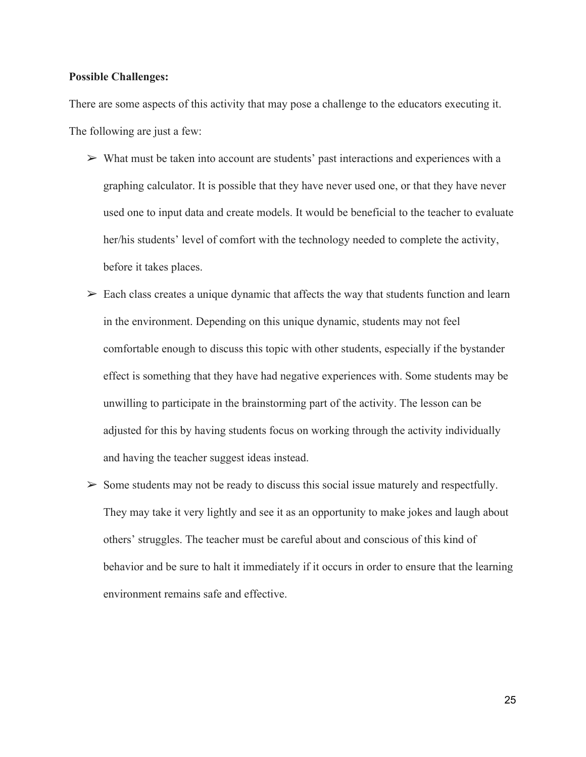#### **Possible Challenges:**

There are some aspects of this activity that may pose a challenge to the educators executing it. The following are just a few:

- $\triangleright$  What must be taken into account are students' past interactions and experiences with a graphing calculator. It is possible that they have never used one, or that they have never used one to input data and create models. It would be beneficial to the teacher to evaluate her/his students' level of comfort with the technology needed to complete the activity, before it takes places.
- $\triangleright$  Each class creates a unique dynamic that affects the way that students function and learn in the environment. Depending on this unique dynamic, students may not feel comfortable enough to discuss this topic with other students, especially if the bystander effect is something that they have had negative experiences with. Some students may be unwilling to participate in the brainstorming part of the activity. The lesson can be adjusted for this by having students focus on working through the activity individually and having the teacher suggest ideas instead.
- $\triangleright$  Some students may not be ready to discuss this social issue maturely and respectfully. They may take it very lightly and see it as an opportunity to make jokes and laugh about others' struggles. The teacher must be careful about and conscious of this kind of behavior and be sure to halt it immediately if it occurs in order to ensure that the learning environment remains safe and effective.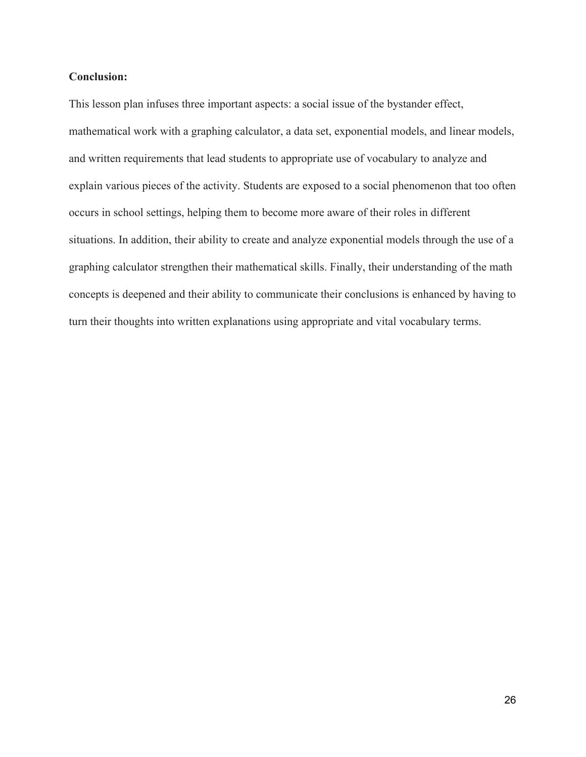### **Conclusion:**

This lesson plan infuses three important aspects: a social issue of the bystander effect, mathematical work with a graphing calculator, a data set, exponential models, and linear models, and written requirements that lead students to appropriate use of vocabulary to analyze and explain various pieces of the activity. Students are exposed to a social phenomenon that too often occurs in school settings, helping them to become more aware of their roles in different situations. In addition, their ability to create and analyze exponential models through the use of a graphing calculator strengthen their mathematical skills. Finally, their understanding of the math concepts is deepened and their ability to communicate their conclusions is enhanced by having to turn their thoughts into written explanations using appropriate and vital vocabulary terms.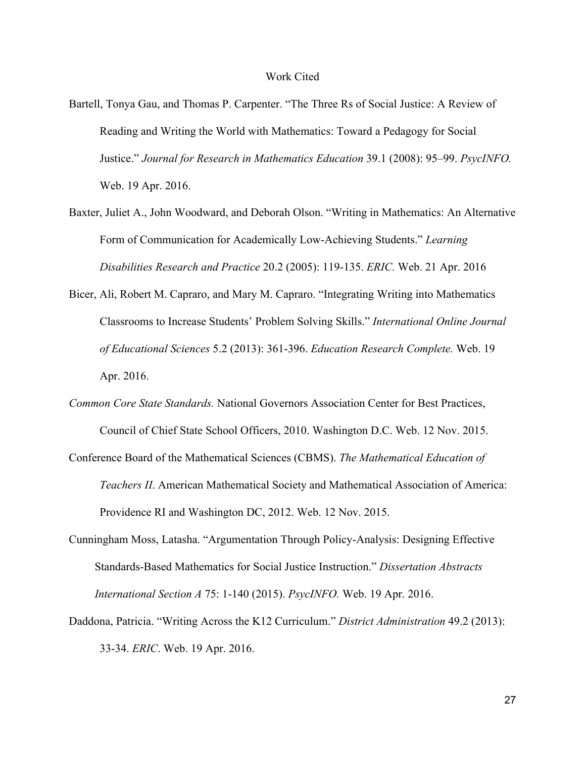#### Work Cited

- Bartell, Tonya Gau, and Thomas P. Carpenter. "The Three Rs of Social Justice: A Review of Reading and Writing the World with Mathematics: Toward a Pedagogy for Social Justice." *Journal for Research in Mathematics Education* 39.1 (2008): 95–99. *PsycINFO.* Web. 19 Apr. 2016.
- Baxter, Juliet A., John Woodward, and Deborah Olson. "Writing in Mathematics: An Alternative Form of Communication for Academically Low-Achieving Students." *Learning Disabilities Research and Practice* 20.2 (2005): 119135. *ERIC.* Web. 21 Apr. 2016
- Bicer, Ali, Robert M. Capraro, and Mary M. Capraro. "Integrating Writing into Mathematics Classrooms to Increase Students' Problem Solving Skills." *International Online Journal of Educational Sciences* 5.2 (2013): 361396. *Education Research Complete.* Web. 19 Apr. 2016.
- *Common Core State Standards.* National Governors Association Center for Best Practices, Council of Chief State School Officers, 2010. Washington D.C. Web. 12 Nov. 2015.
- Conference Board of the Mathematical Sciences (CBMS). *The Mathematical Education of Teachers II*. American Mathematical Society and Mathematical Association of America: Providence RI and Washington DC, 2012. Web. 12 Nov. 2015.
- Cunningham Moss, Latasha. "Argumentation Through Policy-Analysis: Designing Effective Standards-Based Mathematics for Social Justice Instruction." *Dissertation Abstracts International Section A* 75: 1140 (2015). *PsycINFO.* Web. 19 Apr. 2016.
- Daddona, Patricia. "Writing Across the K12 Curriculum." *District Administration* 49.2 (2013): 3334. *ERIC*. Web. 19 Apr. 2016.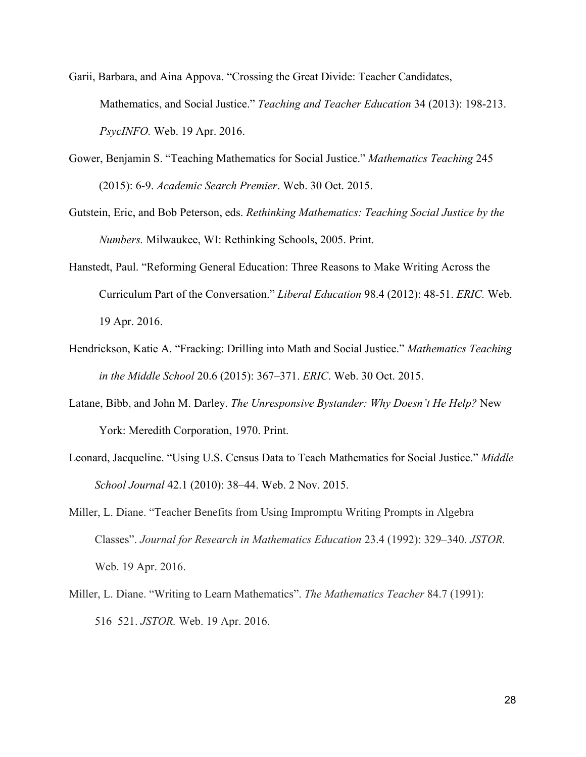Garii, Barbara, and Aina Appova. "Crossing the Great Divide: Teacher Candidates, Mathematics, and Social Justice." *Teaching and Teacher Education* 34 (2013): 198-213. *PsycINFO.* Web. 19 Apr. 2016.

- Gower, Benjamin S. "Teaching Mathematics for Social Justice." *Mathematics Teaching* 245 (2015): 69. *Academic Search Premier*. Web. 30 Oct. 2015.
- Gutstein, Eric, and Bob Peterson, eds. *Rethinking Mathematics: Teaching Social Justice by the Numbers.* Milwaukee, WI: Rethinking Schools, 2005. Print.
- Hanstedt, Paul. "Reforming General Education: Three Reasons to Make Writing Across the Curriculum Part of the Conversation." *Liberal Education* 98.4 (2012): 48-51. *ERIC*. Web. 19 Apr. 2016.
- Hendrickson, Katie A. "Fracking: Drilling into Math and Social Justice." *Mathematics Teaching in the Middle School* 20.6 (2015): 367–371. *ERIC*. Web. 30 Oct. 2015.
- Latane, Bibb, and John M. Darley. *The Unresponsive Bystander: Why Doesn't He Help?* New York: Meredith Corporation, 1970. Print.
- Leonard, Jacqueline. "Using U.S. Census Data to Teach Mathematics for Social Justice." *Middle School Journal* 42.1 (2010): 38–44. Web. 2 Nov. 2015.
- Miller, L. Diane. "Teacher Benefits from Using Impromptu Writing Prompts in Algebra Classes". *Journal for Research in Mathematics Education* 23.4 (1992): 329–340. *JSTOR.* Web. 19 Apr. 2016.
- Miller, L. Diane. "Writing to Learn Mathematics". *The Mathematics Teacher* 84.7 (1991): 516–521. *JSTOR.* Web. 19 Apr. 2016.